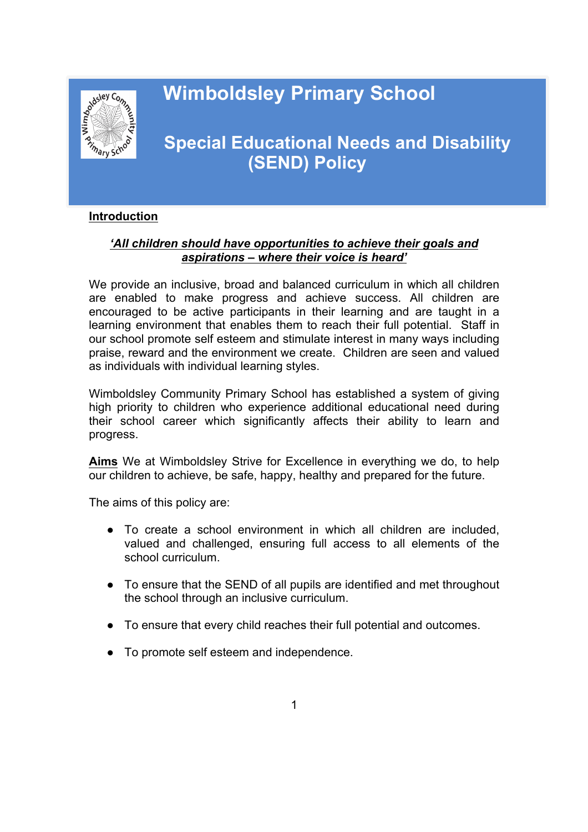# **Wimboldsley Primary School**



# **Example 28 Special Educational Needs and Disability (SEND) Policy**

#### **Introduction**

## *'All children should have opportunities to achieve their goals and aspirations – where their voice is heard'*

We provide an inclusive, broad and balanced curriculum in which all children are enabled to make progress and achieve success. All children are encouraged to be active participants in their learning and are taught in a learning environment that enables them to reach their full potential. Staff in our school promote self esteem and stimulate interest in many ways including praise, reward and the environment we create. Children are seen and valued as individuals with individual learning styles.

Wimboldsley Community Primary School has established a system of giving high priority to children who experience additional educational need during their school career which significantly affects their ability to learn and progress.

**Aims** We at Wimboldsley Strive for Excellence in everything we do, to help our children to achieve, be safe, happy, healthy and prepared for the future.

The aims of this policy are:

- To create a school environment in which all children are included, valued and challenged, ensuring full access to all elements of the school curriculum.
- To ensure that the SEND of all pupils are identified and met throughout the school through an inclusive curriculum.
- To ensure that every child reaches their full potential and outcomes.
- To promote self esteem and independence.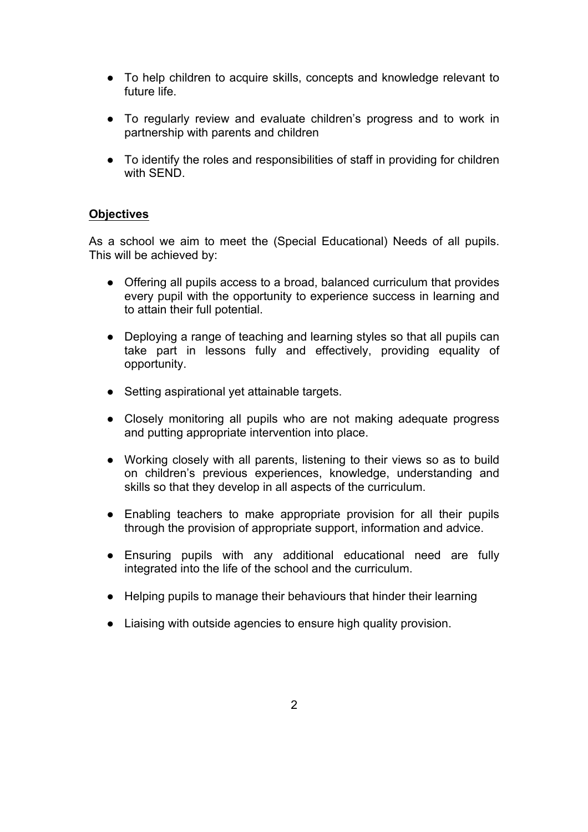- To help children to acquire skills, concepts and knowledge relevant to future life.
- To regularly review and evaluate children's progress and to work in partnership with parents and children
- To identify the roles and responsibilities of staff in providing for children with SEND.

# **Objectives**

As a school we aim to meet the (Special Educational) Needs of all pupils. This will be achieved by:

- Offering all pupils access to a broad, balanced curriculum that provides every pupil with the opportunity to experience success in learning and to attain their full potential.
- Deploying a range of teaching and learning styles so that all pupils can take part in lessons fully and effectively, providing equality of opportunity.
- Setting aspirational yet attainable targets.
- Closely monitoring all pupils who are not making adequate progress and putting appropriate intervention into place.
- Working closely with all parents, listening to their views so as to build on children's previous experiences, knowledge, understanding and skills so that they develop in all aspects of the curriculum.
- Enabling teachers to make appropriate provision for all their pupils through the provision of appropriate support, information and advice.
- Ensuring pupils with any additional educational need are fully integrated into the life of the school and the curriculum.
- Helping pupils to manage their behaviours that hinder their learning
- Liaising with outside agencies to ensure high quality provision.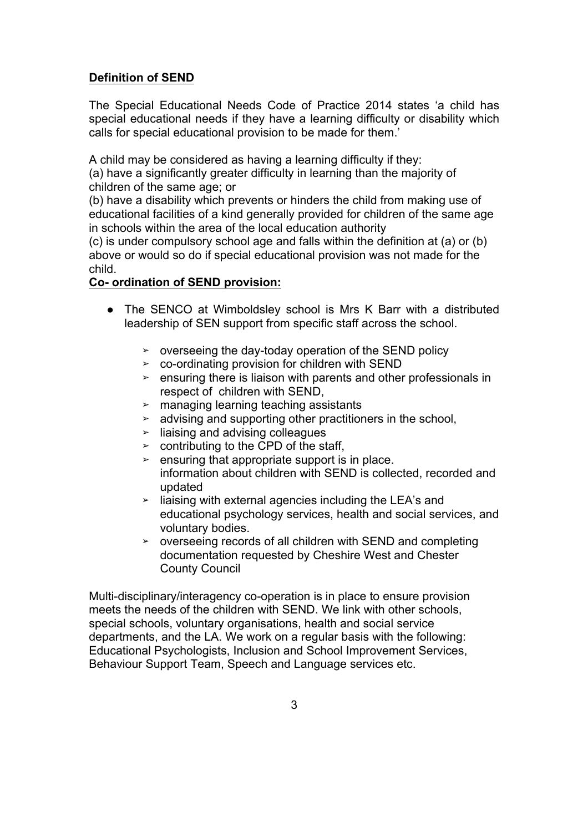# **Definition of SEND**

The Special Educational Needs Code of Practice 2014 states 'a child has special educational needs if they have a learning difficulty or disability which calls for special educational provision to be made for them.'

A child may be considered as having a learning difficulty if they:

(a) have a significantly greater difficulty in learning than the majority of children of the same age; or

(b) have a disability which prevents or hinders the child from making use of educational facilities of a kind generally provided for children of the same age in schools within the area of the local education authority

(c) is under compulsory school age and falls within the definition at (a) or (b) above or would so do if special educational provision was not made for the child.

# **Co- ordination of SEND provision:**

- The SENCO at Wimboldsley school is Mrs K Barr with a distributed leadership of SEN support from specific staff across the school.
	- ➢ overseeing the day-today operation of the SEND policy
	- ➢ co-ordinating provision for children with SEND
	- $\ge$  ensuring there is liaison with parents and other professionals in respect of children with SEND,
	- ➢ managing learning teaching assistants
	- $\geq$  advising and supporting other practitioners in the school,
	- ➢ liaising and advising colleagues
	- $\ge$  contributing to the CPD of the staff,
	- $\ge$  ensuring that appropriate support is in place. information about children with SEND is collected, recorded and updated
	- ➢ liaising with external agencies including the LEA's and educational psychology services, health and social services, and voluntary bodies.
	- ➢ overseeing records of all children with SEND and completing documentation requested by Cheshire West and Chester County Council

Multi-disciplinary/interagency co-operation is in place to ensure provision meets the needs of the children with SEND. We link with other schools, special schools, voluntary organisations, health and social service departments, and the LA. We work on a regular basis with the following: Educational Psychologists, Inclusion and School Improvement Services, Behaviour Support Team, Speech and Language services etc.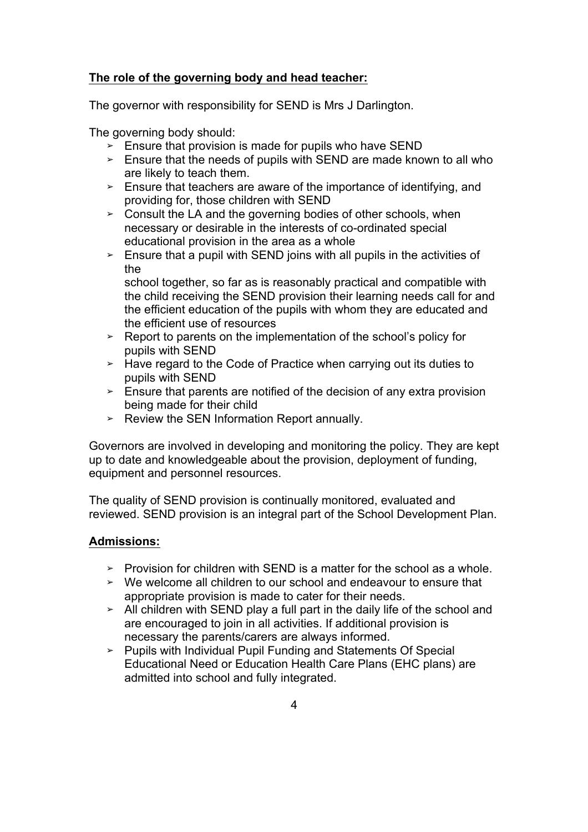## **The role of the governing body and head teacher:**

The governor with responsibility for SEND is Mrs J Darlington.

The governing body should:

- $\geq$  Ensure that provision is made for pupils who have SEND
- $\geq$  Ensure that the needs of pupils with SEND are made known to all who are likely to teach them.
- $\geq$  Ensure that teachers are aware of the importance of identifying, and providing for, those children with SEND
- ➢ Consult the LA and the governing bodies of other schools, when necessary or desirable in the interests of co-ordinated special educational provision in the area as a whole
- $\geq$  Ensure that a pupil with SEND joins with all pupils in the activities of the

school together, so far as is reasonably practical and compatible with the child receiving the SEND provision their learning needs call for and the efficient education of the pupils with whom they are educated and the efficient use of resources

- ➢ Report to parents on the implementation of the school's policy for pupils with SEND
- ➢ Have regard to the Code of Practice when carrying out its duties to pupils with SEND
- $\geq$  Ensure that parents are notified of the decision of any extra provision being made for their child
- ➢ Review the SEN Information Report annually.

Governors are involved in developing and monitoring the policy. They are kept up to date and knowledgeable about the provision, deployment of funding, equipment and personnel resources.

The quality of SEND provision is continually monitored, evaluated and reviewed. SEND provision is an integral part of the School Development Plan.

#### **Admissions:**

- $\geq$  Provision for children with SEND is a matter for the school as a whole.
- $\geq$  We welcome all children to our school and endeavour to ensure that appropriate provision is made to cater for their needs.
- ➢ All children with SEND play a full part in the daily life of the school and are encouraged to join in all activities. If additional provision is necessary the parents/carers are always informed.
- ➢ Pupils with Individual Pupil Funding and Statements Of Special Educational Need or Education Health Care Plans (EHC plans) are admitted into school and fully integrated.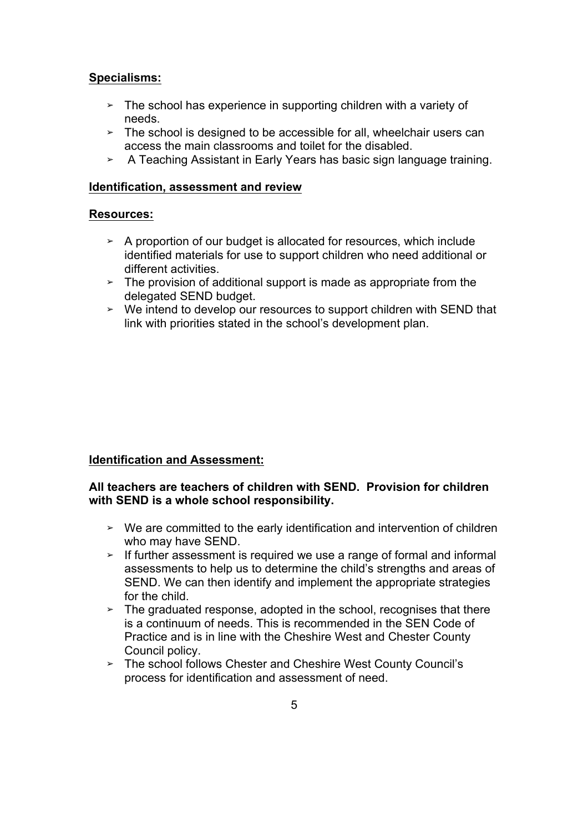## **Specialisms:**

- $\geq$  The school has experience in supporting children with a variety of needs.
- $\geq$  The school is designed to be accessible for all, wheelchair users can access the main classrooms and toilet for the disabled.
- ➢ A Teaching Assistant in Early Years has basic sign language training.

#### **Identification, assessment and review**

#### **Resources:**

- ➢ A proportion of our budget is allocated for resources, which include identified materials for use to support children who need additional or different activities.
- $\geq$  The provision of additional support is made as appropriate from the delegated SEND budget.
- ➢ We intend to develop our resources to support children with SEND that link with priorities stated in the school's development plan.

#### **Identification and Assessment:**

#### **All teachers are teachers of children with SEND. Provision for children with SEND is a whole school responsibility.**

- ➢ We are committed to the early identification and intervention of children who may have SEND.
- $\geq$  If further assessment is required we use a range of formal and informal assessments to help us to determine the child's strengths and areas of SEND. We can then identify and implement the appropriate strategies for the child.
- $\geq$  The graduated response, adopted in the school, recognises that there is a continuum of needs. This is recommended in the SEN Code of Practice and is in line with the Cheshire West and Chester County Council policy.
- ➢ The school follows Chester and Cheshire West County Council's process for identification and assessment of need.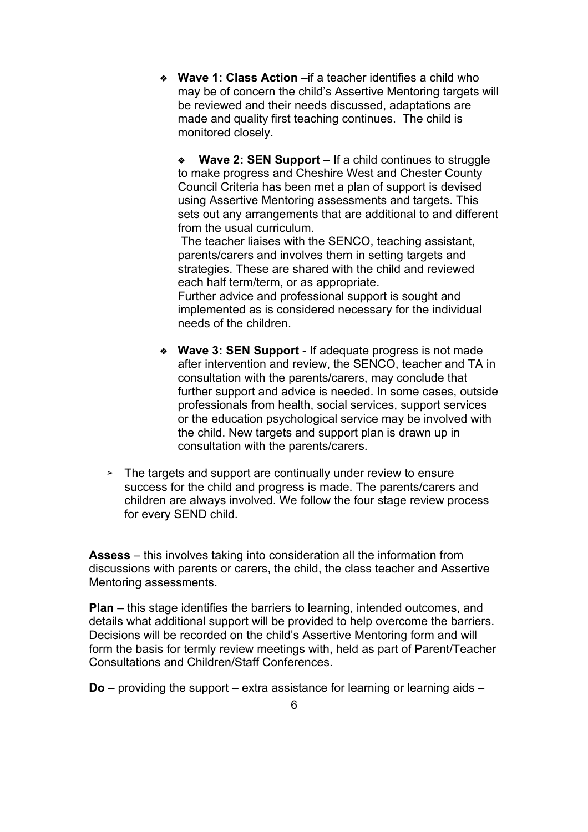❖ **Wave 1: Class Action** –if a teacher identifies a child who may be of concern the child's Assertive Mentoring targets will be reviewed and their needs discussed, adaptations are made and quality first teaching continues. The child is monitored closely.

❖ **Wave 2: SEN Support** – If a child continues to struggle to make progress and Cheshire West and Chester County Council Criteria has been met a plan of support is devised using Assertive Mentoring assessments and targets. This sets out any arrangements that are additional to and different from the usual curriculum.

The teacher liaises with the SENCO, teaching assistant, parents/carers and involves them in setting targets and strategies. These are shared with the child and reviewed each half term/term, or as appropriate.

Further advice and professional support is sought and implemented as is considered necessary for the individual needs of the children.

- ❖ **Wave 3: SEN Support** If adequate progress is not made after intervention and review, the SENCO, teacher and TA in consultation with the parents/carers, may conclude that further support and advice is needed. In some cases, outside professionals from health, social services, support services or the education psychological service may be involved with the child. New targets and support plan is drawn up in consultation with the parents/carers.
- $\geq$  The targets and support are continually under review to ensure success for the child and progress is made. The parents/carers and children are always involved. We follow the four stage review process for every SEND child.

**Assess** – this involves taking into consideration all the information from discussions with parents or carers, the child, the class teacher and Assertive Mentoring assessments.

**Plan** – this stage identifies the barriers to learning, intended outcomes, and details what additional support will be provided to help overcome the barriers. Decisions will be recorded on the child's Assertive Mentoring form and will form the basis for termly review meetings with, held as part of Parent/Teacher Consultations and Children/Staff Conferences.

**Do** – providing the support – extra assistance for learning or learning aids –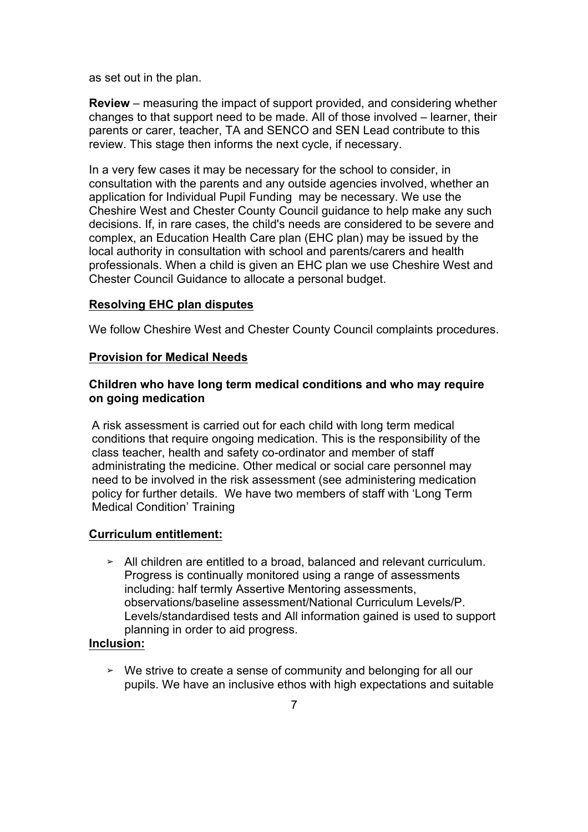as set out in the plan.

**Review** – measuring the impact of support provided, and considering whether changes to that support need to be made. All of those involved – learner, their parents or carer, teacher, TA and SENCO and SEN Lead contribute to this review. This stage then informs the next cycle, if necessary.

In a very few cases it may be necessary for the school to consider, in consultation with the parents and any outside agencies involved, whether an application for Individual Pupil Funding may be necessary. We use the Cheshire West and Chester County Council guidance to help make any such decisions. If, in rare cases, the child's needs are considered to be severe and complex, an Education Health Care plan (EHC plan) may be issued by the local authority in consultation with school and parents/carers and health professionals. When a child is given an EHC plan we use Cheshire West and Chester Council Guidance to allocate a personal budget.

#### **Resolving EHC plan disputes**

We follow Cheshire West and Chester County Council complaints procedures.

#### **Provision for Medical Needs**

#### **Children who have long term medical conditions and who may require on going medication**

A risk assessment is carried out for each child with long term medical conditions that require ongoing medication. This is the responsibility of the class teacher, health and safety co-ordinator and member of staff administrating the medicine. Other medical or social care personnel may need to be involved in the risk assessment (see administering medication policy for further details. We have two members of staff with 'Long Term Medical Condition' Training

#### **Curriculum entitlement:**

➢ All children are entitled to a broad, balanced and relevant curriculum. Progress is continually monitored using a range of assessments including: half termly Assertive Mentoring assessments, observations/baseline assessment/National Curriculum Levels/P. Levels/standardised tests and All information gained is used to support planning in order to aid progress.

#### **Inclusion:**

➢ We strive to create a sense of community and belonging for all our pupils. We have an inclusive ethos with high expectations and suitable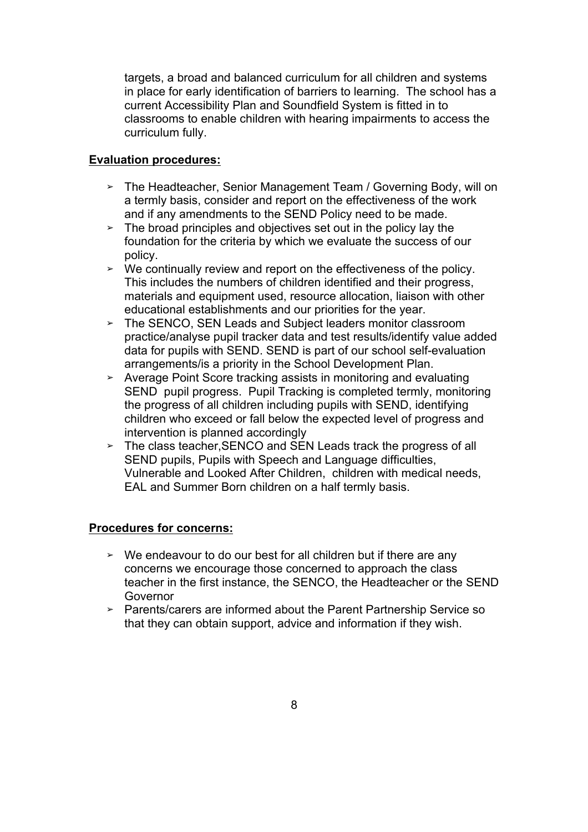targets, a broad and balanced curriculum for all children and systems in place for early identification of barriers to learning. The school has a current Accessibility Plan and Soundfield System is fitted in to classrooms to enable children with hearing impairments to access the curriculum fully.

#### **Evaluation procedures:**

- ➢ The Headteacher, Senior Management Team / Governing Body, will on a termly basis, consider and report on the effectiveness of the work and if any amendments to the SEND Policy need to be made.
- $\geq$  The broad principles and objectives set out in the policy lay the foundation for the criteria by which we evaluate the success of our policy.
- ➢ We continually review and report on the effectiveness of the policy. This includes the numbers of children identified and their progress, materials and equipment used, resource allocation, liaison with other educational establishments and our priorities for the year.
- ➢ The SENCO, SEN Leads and Subject leaders monitor classroom practice/analyse pupil tracker data and test results/identify value added data for pupils with SEND. SEND is part of our school self-evaluation arrangements/is a priority in the School Development Plan.
- ➢ Average Point Score tracking assists in monitoring and evaluating SEND pupil progress. Pupil Tracking is completed termly, monitoring the progress of all children including pupils with SEND, identifying children who exceed or fall below the expected level of progress and intervention is planned accordingly
- ➢ The class teacher,SENCO and SEN Leads track the progress of all SEND pupils, Pupils with Speech and Language difficulties, Vulnerable and Looked After Children, children with medical needs, EAL and Summer Born children on a half termly basis.

#### **Procedures for concerns:**

- $\geq$  We endeavour to do our best for all children but if there are any concerns we encourage those concerned to approach the class teacher in the first instance, the SENCO, the Headteacher or the SEND Governor
- ➢ Parents/carers are informed about the Parent Partnership Service so that they can obtain support, advice and information if they wish.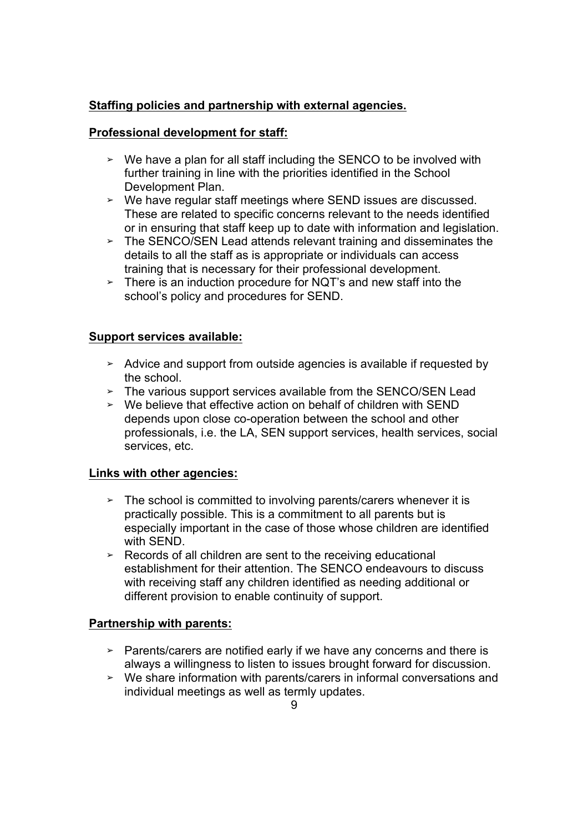# **Staffing policies and partnership with external agencies.**

## **Professional development for staff:**

- ➢ We have a plan for all staff including the SENCO to be involved with further training in line with the priorities identified in the School Development Plan.
- ➢ We have regular staff meetings where SEND issues are discussed. These are related to specific concerns relevant to the needs identified or in ensuring that staff keep up to date with information and legislation.
- $\geq$  The SENCO/SEN Lead attends relevant training and disseminates the details to all the staff as is appropriate or individuals can access training that is necessary for their professional development.
- $\geq$  There is an induction procedure for NQT's and new staff into the school's policy and procedures for SEND.

## **Support services available:**

- ➢ Advice and support from outside agencies is available if requested by the school.
- ➢ The various support services available from the SENCO/SEN Lead
- ➢ We believe that effective action on behalf of children with SEND depends upon close co-operation between the school and other professionals, i.e. the LA, SEN support services, health services, social services, etc.

#### **Links with other agencies:**

- $\geq$  The school is committed to involving parents/carers whenever it is practically possible. This is a commitment to all parents but is especially important in the case of those whose children are identified with SEND.
- $\geq$  Records of all children are sent to the receiving educational establishment for their attention. The SENCO endeavours to discuss with receiving staff any children identified as needing additional or different provision to enable continuity of support.

#### **Partnership with parents:**

- $\geq$  Parents/carers are notified early if we have any concerns and there is always a willingness to listen to issues brought forward for discussion.
- ➢ We share information with parents/carers in informal conversations and individual meetings as well as termly updates.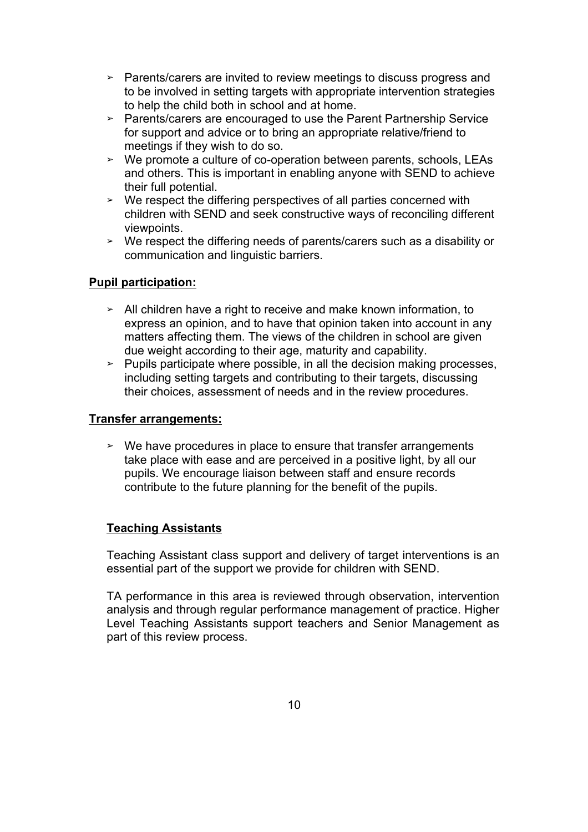- ➢ Parents/carers are invited to review meetings to discuss progress and to be involved in setting targets with appropriate intervention strategies to help the child both in school and at home.
- ➢ Parents/carers are encouraged to use the Parent Partnership Service for support and advice or to bring an appropriate relative/friend to meetings if they wish to do so.
- ➢ We promote a culture of co-operation between parents, schools, LEAs and others. This is important in enabling anyone with SEND to achieve their full potential.
- ➢ We respect the differing perspectives of all parties concerned with children with SEND and seek constructive ways of reconciling different viewpoints.
- ➢ We respect the differing needs of parents/carers such as a disability or communication and linguistic barriers.

## **Pupil participation:**

- ➢ All children have a right to receive and make known information, to express an opinion, and to have that opinion taken into account in any matters affecting them. The views of the children in school are given due weight according to their age, maturity and capability.
- ➢ Pupils participate where possible, in all the decision making processes, including setting targets and contributing to their targets, discussing their choices, assessment of needs and in the review procedures.

#### **Transfer arrangements:**

 $\geq$  We have procedures in place to ensure that transfer arrangements take place with ease and are perceived in a positive light, by all our pupils. We encourage liaison between staff and ensure records contribute to the future planning for the benefit of the pupils.

#### **Teaching Assistants**

Teaching Assistant class support and delivery of target interventions is an essential part of the support we provide for children with SEND.

TA performance in this area is reviewed through observation, intervention analysis and through regular performance management of practice. Higher Level Teaching Assistants support teachers and Senior Management as part of this review process.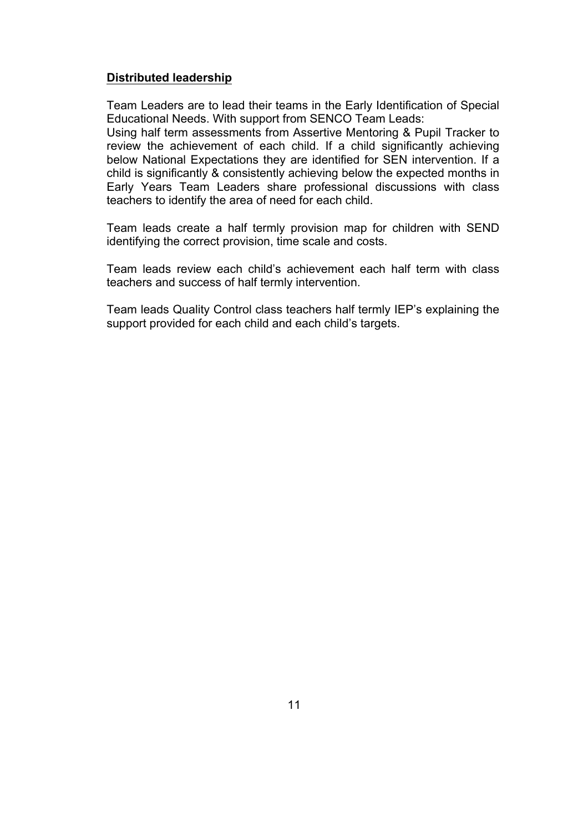#### **Distributed leadership**

Team Leaders are to lead their teams in the Early Identification of Special Educational Needs. With support from SENCO Team Leads:

Using half term assessments from Assertive Mentoring & Pupil Tracker to review the achievement of each child. If a child significantly achieving below National Expectations they are identified for SEN intervention. If a child is significantly & consistently achieving below the expected months in Early Years Team Leaders share professional discussions with class teachers to identify the area of need for each child.

Team leads create a half termly provision map for children with SEND identifying the correct provision, time scale and costs.

Team leads review each child's achievement each half term with class teachers and success of half termly intervention.

Team leads Quality Control class teachers half termly IEP's explaining the support provided for each child and each child's targets.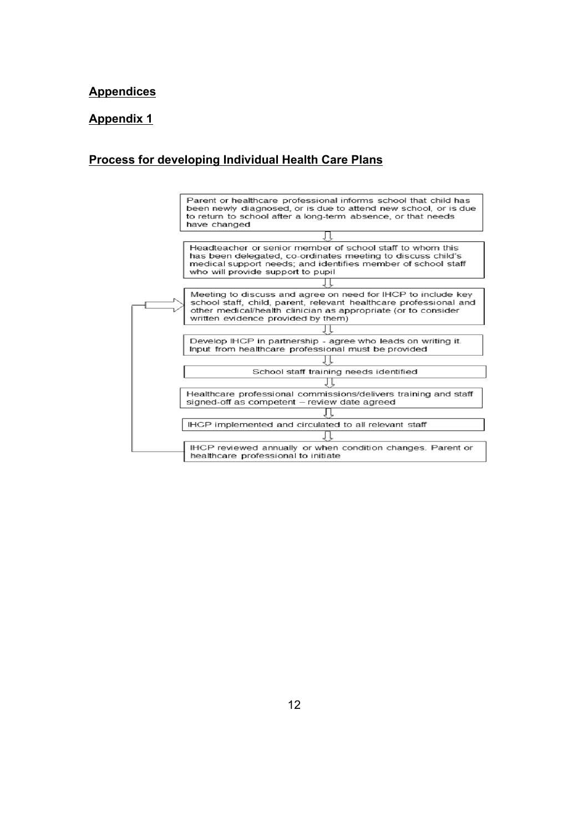#### **Appendices**

#### **Appendix 1**

#### **Process for developing Individual Health Care Plans**

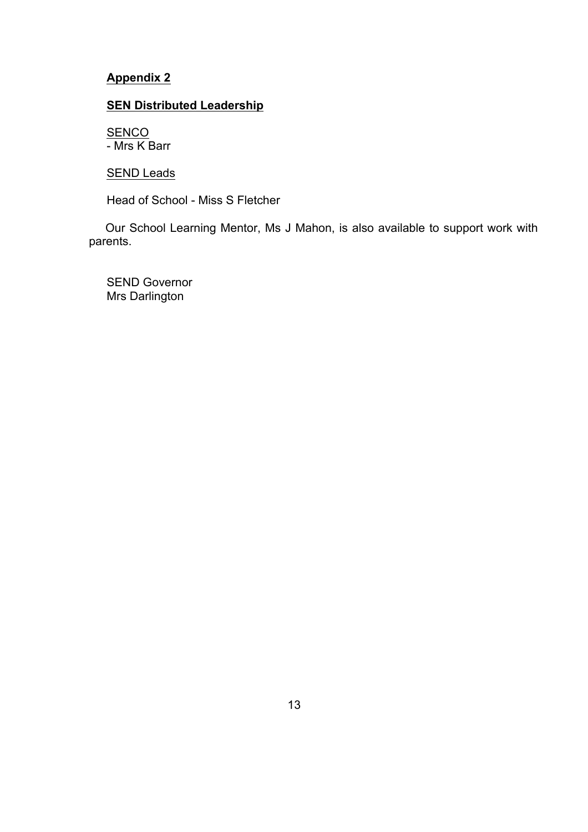# **Appendix 2**

# **SEN Distributed Leadership**

**SENCO** - Mrs K Barr

**SEND Leads** 

Head of School - Miss S Fletcher

 Our School Learning Mentor, Ms J Mahon, is also available to support work with parents.

SEND Governor Mrs Darlington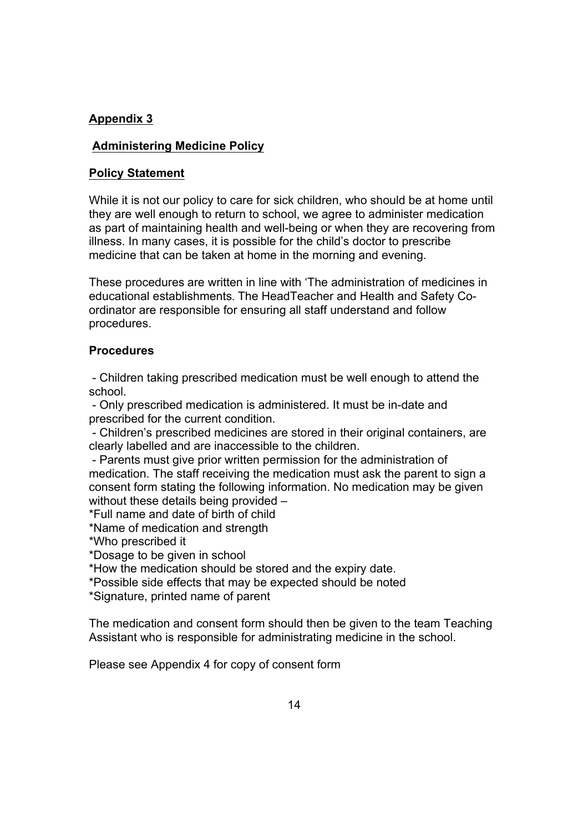# **Appendix 3**

#### **Administering Medicine Policy**

#### **Policy Statement**

While it is not our policy to care for sick children, who should be at home until they are well enough to return to school, we agree to administer medication as part of maintaining health and well-being or when they are recovering from illness. In many cases, it is possible for the child's doctor to prescribe medicine that can be taken at home in the morning and evening.

These procedures are written in line with 'The administration of medicines in educational establishments. The HeadTeacher and Health and Safety Coordinator are responsible for ensuring all staff understand and follow procedures.

#### **Procedures**

- Children taking prescribed medication must be well enough to attend the school.

- Only prescribed medication is administered. It must be in-date and prescribed for the current condition.

- Children's prescribed medicines are stored in their original containers, are clearly labelled and are inaccessible to the children.

- Parents must give prior written permission for the administration of medication. The staff receiving the medication must ask the parent to sign a consent form stating the following information. No medication may be given without these details being provided -

\*Full name and date of birth of child

\*Name of medication and strength

\*Who prescribed it

\*Dosage to be given in school

\*How the medication should be stored and the expiry date.

\*Possible side effects that may be expected should be noted

\*Signature, printed name of parent

The medication and consent form should then be given to the team Teaching Assistant who is responsible for administrating medicine in the school.

Please see Appendix 4 for copy of consent form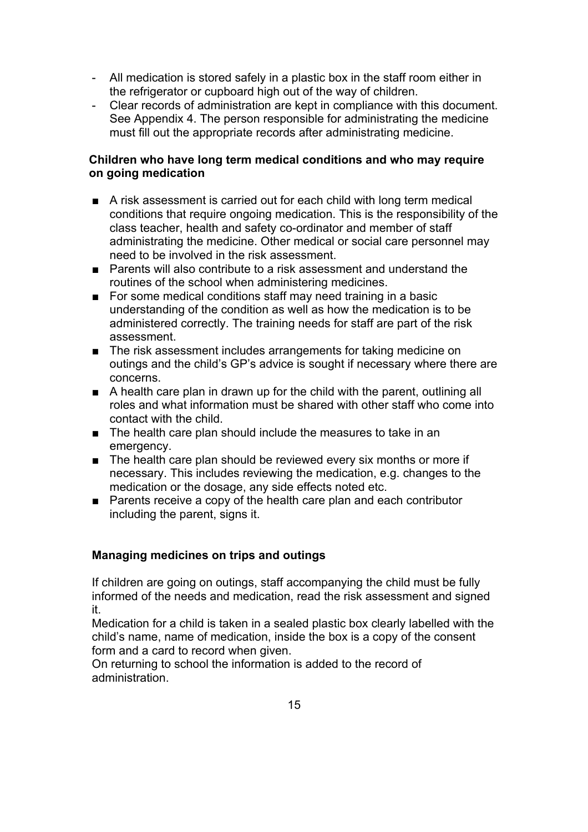- All medication is stored safely in a plastic box in the staff room either in the refrigerator or cupboard high out of the way of children.
- Clear records of administration are kept in compliance with this document. See Appendix 4. The person responsible for administrating the medicine must fill out the appropriate records after administrating medicine.

#### **Children who have long term medical conditions and who may require on going medication**

- A risk assessment is carried out for each child with long term medical conditions that require ongoing medication. This is the responsibility of the class teacher, health and safety co-ordinator and member of staff administrating the medicine. Other medical or social care personnel may need to be involved in the risk assessment.
- Parents will also contribute to a risk assessment and understand the routines of the school when administering medicines.
- For some medical conditions staff may need training in a basic understanding of the condition as well as how the medication is to be administered correctly. The training needs for staff are part of the risk assessment.
- The risk assessment includes arrangements for taking medicine on outings and the child's GP's advice is sought if necessary where there are concerns.
- A health care plan in drawn up for the child with the parent, outlining all roles and what information must be shared with other staff who come into contact with the child.
- The health care plan should include the measures to take in an emergency.
- The health care plan should be reviewed every six months or more if necessary. This includes reviewing the medication, e.g. changes to the medication or the dosage, any side effects noted etc.
- Parents receive a copy of the health care plan and each contributor including the parent, signs it.

# **Managing medicines on trips and outings**

If children are going on outings, staff accompanying the child must be fully informed of the needs and medication, read the risk assessment and signed it.

Medication for a child is taken in a sealed plastic box clearly labelled with the child's name, name of medication, inside the box is a copy of the consent form and a card to record when given.

On returning to school the information is added to the record of administration.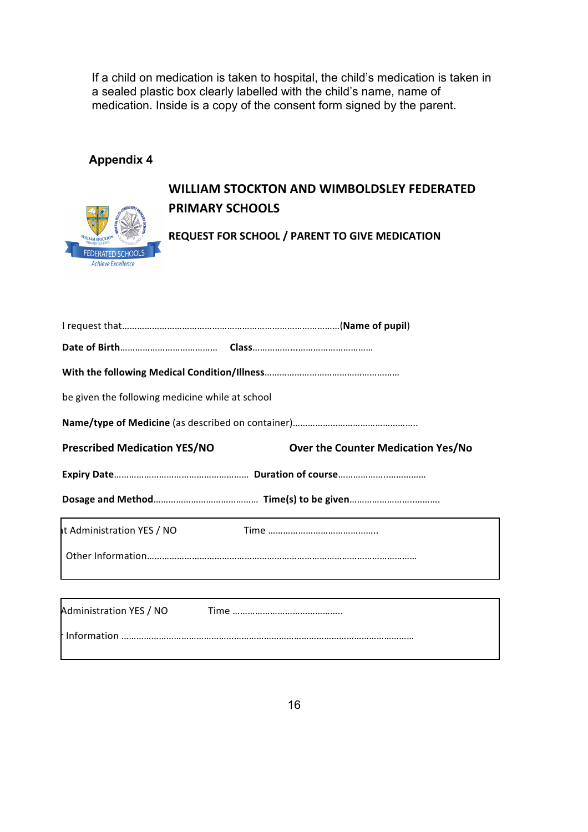If a child on medication is taken to hospital, the child's medication is taken in a sealed plastic box clearly labelled with the child's name, name of medication. Inside is a copy of the consent form signed by the parent.

# **Appendix 4**



# WILLIAM STOCKTON AND WIMBOLDSLEY FEDERATED **PRIMARY SCHOOLS**

**REQUEST FOR SCHOOL / PARENT TO GIVE MEDICATION** 

| be given the following medicine while at school |                                           |
|-------------------------------------------------|-------------------------------------------|
|                                                 |                                           |
| <b>Prescribed Medication YES/NO</b>             | <b>Over the Counter Medication Yes/No</b> |
|                                                 |                                           |
|                                                 |                                           |
| t Administration YES / NO                       |                                           |
|                                                 |                                           |
|                                                 |                                           |
| Administration YES / NO                         |                                           |
|                                                 |                                           |
|                                                 |                                           |